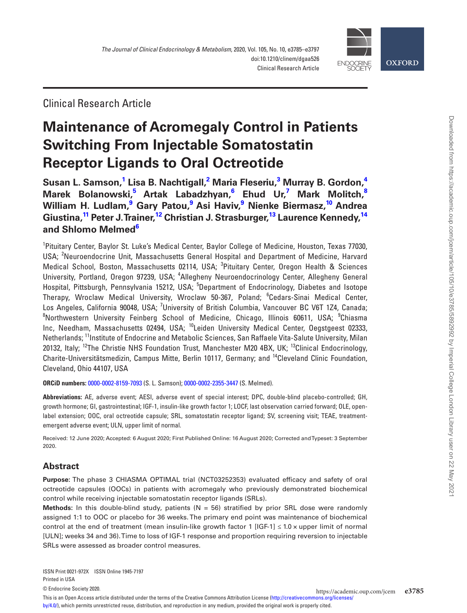

Clinical Research Article

# **Maintenance of Acromegaly Control in Patients Switching From Injectable Somatostatin Receptor Ligands to Oral Octreotide**

**[Susan L. Samson](http://orcid.org/0000-0002-8159-7093),[1](#page-0-0) Lisa B. Nachtigall[,2](#page-0-1) Maria Fleseriu[,3](#page-0-2) Murray B. Gordon[,4](#page-0-3) Marek Bolanowski[,5](#page-0-4) Artak Labadzhyan,[6](#page-0-5) Ehud Ur,[7](#page-0-6) Mark Molitch[,8](#page-0-7) William H. Ludlam,[9](#page-0-8) Gary Patou,[9](#page-0-8) Asi Haviv[,9](#page-0-8) Nienke Biermasz,[10](#page-0-9) Andrea Giustina[,11](#page-0-10) Peter J. Trainer[,12](#page-0-11) Christian J. Strasburger,[13](#page-0-12) Laurence Kennedy,[14](#page-0-13) and [Shlomo Melmed](http://orcid.org/0000-0002-2355-3447)[6](#page-0-5)**

<span id="page-0-6"></span><span id="page-0-5"></span><span id="page-0-4"></span><span id="page-0-3"></span><span id="page-0-2"></span><span id="page-0-1"></span><span id="page-0-0"></span><sup>1</sup>Pituitary Center, Baylor St. Luke's Medical Center, Baylor College of Medicine, Houston, Texas 77030, USA; <sup>2</sup>Neuroendocrine Unit, Massachusetts General Hospital and Department of Medicine, Harvard Medical School, Boston, Massachusetts 02114, USA; <sup>3</sup>Pituitary Center, Oregon Health & Sciences University, Portland, Oregon 97239, USA; <sup>4</sup>Allegheny Neuroendocrinology Center, Allegheny General Hospital, Pittsburgh, Pennsylvania 15212, USA; <sup>5</sup>Department of Endocrinology, Diabetes and Isotope Therapy, Wroclaw Medical University, Wroclaw 50-367, Poland; <sup>6</sup>Cedars-Sinai Medical Center, Los Angeles, California 90048, USA; <sup>7</sup>University of British Columbia, Vancouver BC V6T 1Z4, Canada; <sup>8</sup>Northwestern University Feinberg School of Medicine, Chicago, Illinois 60611, USA; <sup>9</sup>Chiasma Inc, Needham, Massachusetts 02494, USA; 10Leiden University Medical Center, Oegstgeest 02333, Netherlands; 11Institute of Endocrine and Metabolic Sciences, San Raffaele Vita-Salute University, Milan 20132, Italy; <sup>12</sup>The Christie NHS Foundation Trust, Manchester M20 4BX, UK; <sup>13</sup>Clinical Endocrinology, Charite-Universitätsmedizin, Campus Mitte, Berlin 10117, Germany; and 14Cleveland Clinic Foundation, Cleveland, Ohio 44107, USA

<span id="page-0-13"></span><span id="page-0-12"></span><span id="page-0-11"></span><span id="page-0-10"></span><span id="page-0-9"></span><span id="page-0-8"></span><span id="page-0-7"></span>**ORCiD numbers:** [0000-0002-8159-7093](http://orcid.org/0000-0002-8159-7093) (S. L. Samson); [0000-0002-2355-3447](http://orcid.org/0000-0002-2355-3447) (S. Melmed).

**Abbreviations:** AE, adverse event; AESI, adverse event of special interest; DPC, double-blind placebo-controlled; GH, growth hormone; GI, gastrointestinal; IGF-1, insulin-like growth factor 1; LOCF, last observation carried forward; OLE, openlabel extension; OOC, oral octreotide capsule; SRL, somatostatin receptor ligand; SV, screening visit; TEAE, treatmentemergent adverse event; ULN, upper limit of normal.

Received: 12 June 2020; Accepted: 6 August 2020; First Published Online: 16 August 2020; Corrected and Typeset: 3 September 2020.

# **Abstract**

**Purpose:** The phase 3 CHIASMA OPTIMAL trial (NCT03252353) evaluated efficacy and safety of oral octreotide capsules (OOCs) in patients with acromegaly who previously demonstrated biochemical control while receiving injectable somatostatin receptor ligands (SRLs).

**Methods:** In this double-blind study, patients (N = 56) stratified by prior SRL dose were randomly assigned 1:1 to OOC or placebo for 36 weeks. The primary end point was maintenance of biochemical control at the end of treatment (mean insulin-like growth factor 1 [IGF-1]  $\leq 1.0 \times$  upper limit of normal [ULN]; weeks 34 and 36). Time to loss of IGF-1 response and proportion requiring reversion to injectable SRLs were assessed as broader control measures.

Downloaded from https://academic.oup.com/jcem/article/105/10/e3785/5892992 by Imperial College London Library user on 22 May 2021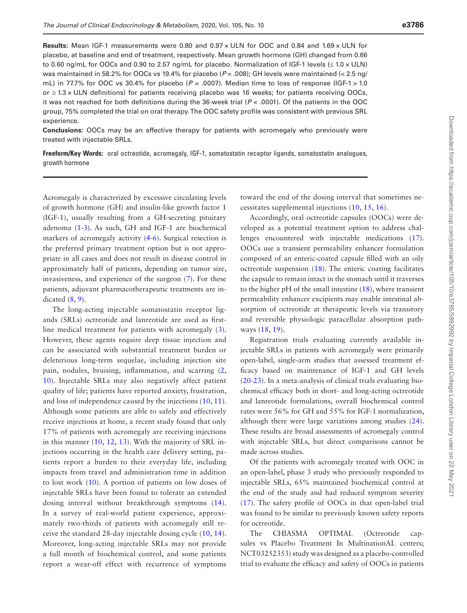**Results:** Mean IGF-1 measurements were 0.80 and 0.97 × ULN for OOC and 0.84 and 1.69 × ULN for placebo, at baseline and end of treatment, respectively. Mean growth hormone (GH) changed from 0.66 to 0.60 ng/mL for OOCs and 0.90 to 2.57 ng/mL for placebo. Normalization of IGF-1 levels (≤ 1.0 × ULN) was maintained in 58.2% for OOCs vs 19.4% for placebo ( $P = .008$ ); GH levels were maintained (< 2.5 ng/ mL) in 77.7% for OOC vs 30.4% for placebo (*P* = .0007). Median time to loss of response (IGF-1 > 1.0 or ≥ 1.3 × ULN definitions) for patients receiving placebo was 16 weeks; for patients receiving OOCs, it was not reached for both definitions during the 36-week trial (*P* < .0001). Of the patients in the OOC group, 75% completed the trial on oral therapy. The OOC safety profile was consistent with previous SRL experience.

**Conclusions:** OOCs may be an effective therapy for patients with acromegaly who previously were treated with injectable SRLs.

**Freeform/Key Words:** oral octreotide, acromegaly, IGF-1, somatostatin receptor ligands, somatostatin analogues, growth hormone

Acromegaly is characterized by excessive circulating levels of growth hormone (GH) and insulin-like growth factor 1 (IGF-1), usually resulting from a GH-secreting pituitary adenoma [\(1](#page-10-0)[-3\)](#page-10-1). As such, GH and IGF-1 are biochemical markers of acromegaly activity ([4-](#page-10-2)[6\)](#page-10-3). Surgical resection is the preferred primary treatment option but is not appropriate in all cases and does not result in disease control in approximately half of patients, depending on tumor size, invasiveness, and experience of the surgeon [\(7\)](#page-10-4). For these patients, adjuvant pharmacotherapeutic treatments are indicated  $(8, 9)$  $(8, 9)$  $(8, 9)$  $(8, 9)$ .

The long-acting injectable somatostatin receptor ligands (SRLs) octreotide and lanreotide are used as firstline medical treatment for patients with acromegaly ([3](#page-10-1)). However, these agents require deep tissue injection and can be associated with substantial treatment burden or deleterious long-term sequelae, including injection site pain, nodules, bruising, inflammation, and scarring [\(2](#page-10-7), [10](#page-10-8)). Injectable SRLs may also negatively affect patient quality of life; patients have reported anxiety, frustration, and loss of independence caused by the injections ([10](#page-10-8), [11](#page-10-9)). Although some patients are able to safely and effectively receive injections at home, a recent study found that only 17% of patients with acromegaly are receiving injections in this manner ([10,](#page-10-8) [12](#page-10-10), [13\)](#page-11-0). With the majority of SRL injections occurring in the health care delivery setting, patients report a burden to their everyday life, including impacts from travel and administration time in addition to lost work [\(10\)](#page-10-8). A portion of patients on low doses of injectable SRLs have been found to tolerate an extended dosing interval without breakthrough symptoms ([14](#page-11-1)). In a survey of real-world patient experience, approximately two-thirds of patients with acromegaly still receive the standard 28-day injectable dosing cycle [\(10,](#page-10-8) [14](#page-11-1)). Moreover, long-acting injectable SRLs may not provide a full month of biochemical control, and some patients report a wear-off effect with recurrence of symptoms

toward the end of the dosing interval that sometimes necessitates supplemental injections [\(10,](#page-10-8) [15](#page-11-2), [16\)](#page-11-3).

Accordingly, oral octreotide capsules (OOCs) were developed as a potential treatment option to address challenges encountered with injectable medications [\(17](#page-11-4)). OOCs use a transient permeability enhancer formulation composed of an enteric-coated capsule filled with an oily octreotide suspension ([18\)](#page-11-5). The enteric coating facilitates the capsule to remain intact in the stomach until it traverses to the higher pH of the small intestine [\(18\)](#page-11-5), where transient permeability enhancer excipients may enable intestinal absorption of octreotide at therapeutic levels via transitory and reversible physiologic paracellular absorption pathways [\(18,](#page-11-5) [19\)](#page-11-6).

Registration trials evaluating currently available injectable SRLs in patients with acromegaly were primarily open-label, single-arm studies that assessed treatment efficacy based on maintenance of IGF-1 and GH levels ([20](#page-11-7)[-23](#page-11-8)). In a meta-analysis of clinical trials evaluating biochemical efficacy both in short- and long-acting octreotide and lanreotide formulations, overall biochemical control rates were 56% for GH and 55% for IGF-1 normalization, although there were large variations among studies [\(24](#page-11-9)). These results are broad assessments of acromegaly control with injectable SRLs, but direct comparisons cannot be made across studies.

Of the patients with acromegaly treated with OOC in an open-label, phase 3 study who previously responded to injectable SRLs, 65% maintained biochemical control at the end of the study and had reduced symptom severity ([17](#page-11-4)). The safety profile of OOCs in that open-label trial was found to be similar to previously known safety reports for octreotide.

The CHIASMA OPTIMAL (Octreotide capsules vs Placebo Treatment In MultinationAL centers; NCT03252353) study was designed as a placebo-controlled trial to evaluate the efficacy and safety of OOCs in patients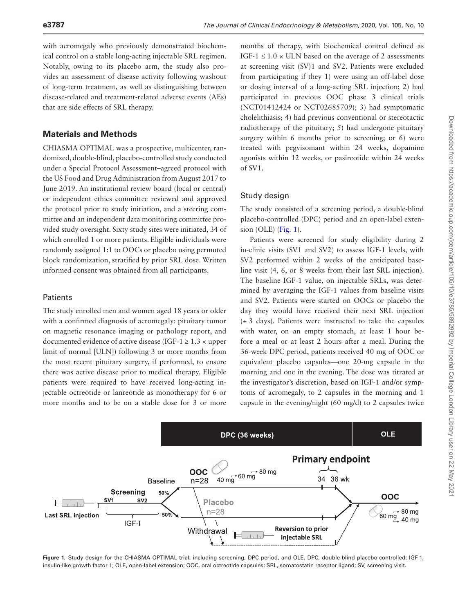with acromegaly who previously demonstrated biochemical control on a stable long-acting injectable SRL regimen. Notably, owing to its placebo arm, the study also provides an assessment of disease activity following washout of long-term treatment, as well as distinguishing between disease-related and treatment-related adverse events (AEs) that are side effects of SRL therapy.

# **Materials and Methods**

CHIASMA OPTIMAL was a prospective, multicenter, randomized, double-blind, placebo-controlled study conducted under a Special Protocol Assessment–agreed protocol with the US Food and Drug Administration from August 2017 to June 2019. An institutional review board (local or central) or independent ethics committee reviewed and approved the protocol prior to study initiation, and a steering committee and an independent data monitoring committee provided study oversight. Sixty study sites were initiated, 34 of which enrolled 1 or more patients. Eligible individuals were randomly assigned 1:1 to OOCs or placebo using permuted block randomization, stratified by prior SRL dose. Written informed consent was obtained from all participants.

### **Patients**

The study enrolled men and women aged 18 years or older with a confirmed diagnosis of acromegaly: pituitary tumor on magnetic resonance imaging or pathology report, and documented evidence of active disease (IGF-1  $\geq$  1.3  $\times$  upper limit of normal [ULN]) following 3 or more months from the most recent pituitary surgery, if performed, to ensure there was active disease prior to medical therapy. Eligible patients were required to have received long-acting injectable octreotide or lanreotide as monotherapy for 6 or more months and to be on a stable dose for 3 or more

months of therapy, with biochemical control defined as IGF-1  $\leq$  1.0  $\times$  ULN based on the average of 2 assessments at screening visit (SV)1 and SV2. Patients were excluded from participating if they 1) were using an off-label dose or dosing interval of a long-acting SRL injection; 2) had participated in previous OOC phase 3 clinical trials (NCT01412424 or NCT02685709); 3) had symptomatic cholelithiasis; 4) had previous conventional or stereotactic radiotherapy of the pituitary; 5) had undergone pituitary surgery within 6 months prior to screening; or 6) were treated with pegvisomant within 24 weeks, dopamine agonists within 12 weeks, or pasireotide within 24 weeks of SV1.

# Study design

The study consisted of a screening period, a double-blind placebo-controlled (DPC) period and an open-label extension (OLE) [\(Fig. 1](#page-2-0)).

Patients were screened for study eligibility during 2 in-clinic visits (SV1 and SV2) to assess IGF-1 levels, with SV2 performed within 2 weeks of the anticipated baseline visit (4, 6, or 8 weeks from their last SRL injection). The baseline IGF-1 value, on injectable SRLs, was determined by averaging the IGF-1 values from baseline visits and SV2. Patients were started on OOCs or placebo the day they would have received their next SRL injection  $(\pm 3$  days). Patients were instructed to take the capsules with water, on an empty stomach, at least 1 hour before a meal or at least 2 hours after a meal. During the 36-week DPC period, patients received 40 mg of OOC or equivalent placebo capsules—one 20-mg capsule in the morning and one in the evening. The dose was titrated at the investigator's discretion, based on IGF-1 and/or symptoms of acromegaly, to 2 capsules in the morning and 1 capsule in the evening/night (60 mg/d) to 2 capsules twice



<span id="page-2-0"></span>**Figure 1.** Study design for the CHIASMA OPTIMAL trial, including screening, DPC period, and OLE. DPC, double-blind placebo-controlled; IGF-1, insulin-like growth factor 1; OLE, open-label extension; OOC, oral octreotide capsules; SRL, somatostatin receptor ligand; SV, screening visit.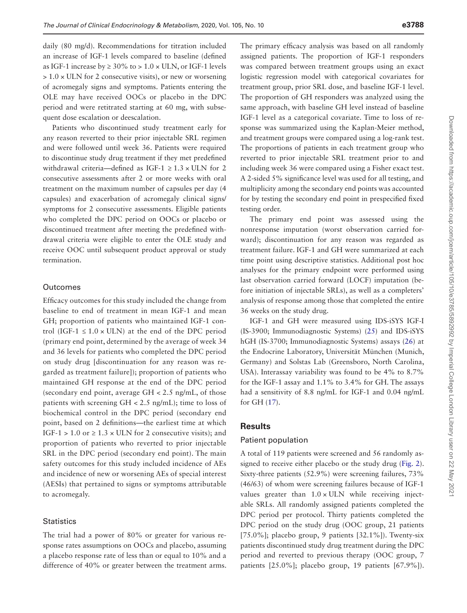daily (80 mg/d). Recommendations for titration included an increase of IGF-1 levels compared to baseline (defined as IGF-1 increase by  $\geq 30\%$  to  $> 1.0 \times$  ULN, or IGF-1 levels  $> 1.0 \times$  ULN for 2 consecutive visits), or new or worsening of acromegaly signs and symptoms. Patients entering the OLE may have received OOCs or placebo in the DPC period and were retitrated starting at 60 mg, with subsequent dose escalation or deescalation.

Patients who discontinued study treatment early for any reason reverted to their prior injectable SRL regimen and were followed until week 36. Patients were required to discontinue study drug treatment if they met predefined withdrawal criteria—defined as IGF-1  $\geq$  1.3  $\times$  ULN for 2 consecutive assessments after 2 or more weeks with oral treatment on the maximum number of capsules per day (4 capsules) and exacerbation of acromegaly clinical signs/ symptoms for 2 consecutive assessments. Eligible patients who completed the DPC period on OOCs or placebo or discontinued treatment after meeting the predefined withdrawal criteria were eligible to enter the OLE study and receive OOC until subsequent product approval or study termination.

#### **Outcomes**

Efficacy outcomes for this study included the change from baseline to end of treatment in mean IGF-1 and mean GH; proportion of patients who maintained IGF-1 control (IGF-1  $\leq$  1.0  $\times$  ULN) at the end of the DPC period (primary end point, determined by the average of week 34 and 36 levels for patients who completed the DPC period on study drug [discontinuation for any reason was regarded as treatment failure]); proportion of patients who maintained GH response at the end of the DPC period (secondary end point, average GH < 2.5 ng/mL, of those patients with screening GH < 2.5 ng/mL); time to loss of biochemical control in the DPC period (secondary end point, based on 2 definitions—the earliest time at which IGF-1 > 1.0 or  $\geq 1.3 \times$  ULN for 2 consecutive visits); and proportion of patients who reverted to prior injectable SRL in the DPC period (secondary end point). The main safety outcomes for this study included incidence of AEs and incidence of new or worsening AEs of special interest (AESIs) that pertained to signs or symptoms attributable to acromegaly.

#### **Statistics**

The trial had a power of 80% or greater for various response rates assumptions on OOCs and placebo, assuming a placebo response rate of less than or equal to 10% and a difference of 40% or greater between the treatment arms. The primary efficacy analysis was based on all randomly assigned patients. The proportion of IGF-1 responders was compared between treatment groups using an exact logistic regression model with categorical covariates for treatment group, prior SRL dose, and baseline IGF-1 level. The proportion of GH responders was analyzed using the same approach, with baseline GH level instead of baseline IGF-1 level as a categorical covariate. Time to loss of response was summarized using the Kaplan-Meier method, and treatment groups were compared using a log-rank test. The proportions of patients in each treatment group who reverted to prior injectable SRL treatment prior to and including week 36 were compared using a Fisher exact test. A 2-sided 5% significance level was used for all testing, and multiplicity among the secondary end points was accounted for by testing the secondary end point in prespecified fixed testing order.

The primary end point was assessed using the nonresponse imputation (worst observation carried forward); discontinuation for any reason was regarded as treatment failure. IGF-1 and GH were summarized at each time point using descriptive statistics. Additional post hoc analyses for the primary endpoint were performed using last observation carried forward (LOCF) imputation (before initiation of injectable SRLs), as well as a completers' analysis of response among those that completed the entire 36 weeks on the study drug.

IGF-1 and GH were measured using IDS-iSYS IGF-I (IS-3900; Immunodiagnostic Systems) [\(25\)](#page-11-10) and IDS-iSYS hGH (IS-3700; Immunodiagnostic Systems) assays [\(26\)](#page-11-11) at the Endocrine Laboratory, Universität München (Munich, Germany) and Solstas Lab (Greensboro, North Carolina, USA). Interassay variability was found to be 4% to 8.7% for the IGF-1 assay and 1.1% to 3.4% for GH. The assays had a sensitivity of 8.8 ng/mL for IGF-1 and 0.04 ng/mL for GH ([17\)](#page-11-4).

#### **Results**

#### Patient population

A total of 119 patients were screened and 56 randomly assigned to receive either placebo or the study drug [\(Fig. 2](#page-4-0)). Sixty-three patients (52.9%) were screening failures, 73% (46/63) of whom were screening failures because of IGF-1 values greater than  $1.0 \times$  ULN while receiving injectable SRLs. All randomly assigned patients completed the DPC period per protocol. Thirty patients completed the DPC period on the study drug (OOC group, 21 patients [75.0%]; placebo group, 9 patients [32.1%]). Twenty-six patients discontinued study drug treatment during the DPC period and reverted to previous therapy (OOC group, 7 patients [25.0%]; placebo group, 19 patients [67.9%]).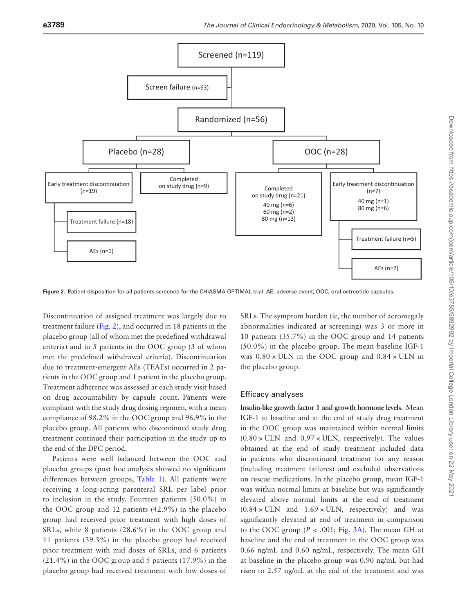

<span id="page-4-0"></span>**Figure 2.** Patient disposition for all patients screened for the CHIASMA OPTIMAL trial. AE, adverse event; OOC, oral octreotide capsules.

Discontinuation of assigned treatment was largely due to treatment failure [\(Fig. 2\)](#page-4-0), and occurred in 18 patients in the placebo group (all of whom met the predefined withdrawal criteria) and in 5 patients in the OOC group (3 of whom met the predefined withdrawal criteria). Discontinuation due to treatment-emergent AEs (TEAEs) occurred in 2 patients in the OOC group and 1 patient in the placebo group. Treatment adherence was assessed at each study visit based on drug accountability by capsule count. Patients were compliant with the study drug dosing regimen, with a mean compliance of 98.2% in the OOC group and 96.9% in the placebo group. All patients who discontinued study drug treatment continued their participation in the study up to the end of the DPC period.

Patients were well balanced between the OOC and placebo groups (post hoc analysis showed no significant differences between groups; [Table 1\)](#page-5-0). All patients were receiving a long-acting parenteral SRL per label prior to inclusion in the study. Fourteen patients (50.0%) in the OOC group and 12 patients (42.9%) in the placebo group had received prior treatment with high doses of SRLs, while 8 patients (28.6%) in the OOC group and 11 patients (39.3%) in the placebo group had received prior treatment with mid doses of SRLs, and 6 patients (21.4%) in the OOC group and 5 patients (17.9%) in the placebo group had received treatment with low doses of

SRLs. The symptom burden (ie, the number of acromegaly abnormalities indicated at screening) was 3 or more in 10 patients (35.7%) in the OOC group and 14 patients (50.0%) in the placebo group. The mean baseline IGF-1 was  $0.80 \times$  ULN in the OOC group and  $0.84 \times$  ULN in the placebo group.

#### Efficacy analyses

**Insulin-like growth factor 1 and growth hormone levels.** Mean IGF-1 at baseline and at the end of study drug treatment in the OOC group was maintained within normal limits  $(0.80 \times$  ULN and  $0.97 \times$  ULN, respectively). The values obtained at the end of study treatment included data in patients who discontinued treatment for any reason (including treatment failures) and excluded observations on rescue medications. In the placebo group, mean IGF-1 was within normal limits at baseline but was significantly elevated above normal limits at the end of treatment  $(0.84 \times \text{ULN}$  and  $1.69 \times \text{ULN}$ , respectively) and was significantly elevated at end of treatment in comparison to the OOC group  $(P < .001; Fig. 3A)$  $(P < .001; Fig. 3A)$  $(P < .001; Fig. 3A)$ . The mean GH at baseline and the end of treatment in the OOC group was 0.66 ng/mL and 0.60 ng/mL, respectively. The mean GH at baseline in the placebo group was 0.90 ng/mL but had risen to 2.57 ng/mL at the end of the treatment and was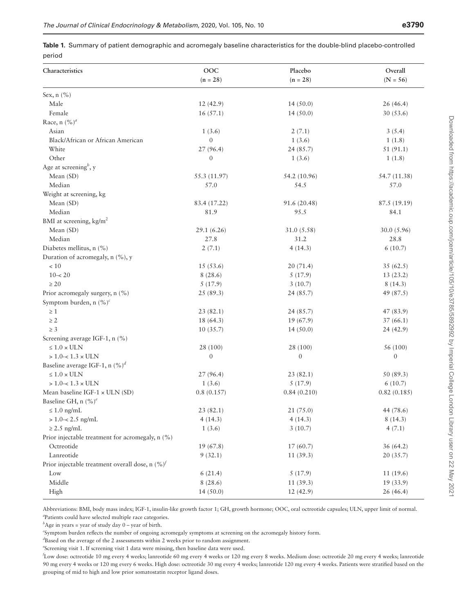<span id="page-5-0"></span>

|        | <b>Table 1.</b> Summary of patient demographic and acromegaly baseline characteristics for the double-blind placebo-controlled |  |
|--------|--------------------------------------------------------------------------------------------------------------------------------|--|
| period |                                                                                                                                |  |

| Characteristics                                    | OOC<br>$(n = 28)$ | Placebo<br>$(n = 28)$ | Overall<br>$(N = 56)$ |
|----------------------------------------------------|-------------------|-----------------------|-----------------------|
| Sex, $n$ (%)                                       |                   |                       |                       |
| Male                                               | 12(42.9)          | 14(50.0)              | 26(46.4)              |
| Female                                             | 16(57.1)          | 14(50.0)              | 30 (53.6)             |
| Race, n $(\%)^a$                                   |                   |                       |                       |
| Asian                                              | 1(3.6)            | 2(7.1)                | 3(5.4)                |
| Black/African or African American                  | $\mathbf{0}$      | 1(3.6)                | 1(1.8)                |
| White                                              | 27(96.4)          | 24 (85.7)             | 51(91.1)              |
| Other                                              | $\boldsymbol{0}$  | 1(3.6)                | 1(1.8)                |
| Age at screening <sup>b</sup> , y                  |                   |                       |                       |
| Mean (SD)                                          | 55.3 (11.97)      | 54.2 (10.96)          | 54.7 (11.38)          |
| Median                                             | 57.0              | 54.5                  | 57.0                  |
| Weight at screening, kg                            |                   |                       |                       |
| Mean (SD)                                          | 83.4 (17.22)      | 91.6 (20.48)          | 87.5 (19.19)          |
| Median                                             | 81.9              | 95.5                  | 84.1                  |
| BMI at screening, kg/m <sup>2</sup>                |                   |                       |                       |
| Mean (SD)                                          | 29.1(6.26)        | 31.0 (5.58)           | 30.0(5.96)            |
| Median                                             | 27.8              | 31.2                  | 28.8                  |
| Diabetes mellitus, n (%)                           | 2(7.1)            | 4(14.3)               | 6(10.7)               |
| Duration of acromegaly, n (%), y                   |                   |                       |                       |
| $<10$                                              | 15(53.6)          | 20(71.4)              | 35(62.5)              |
| $10 - 20$                                          | 8(28.6)           | 5(17.9)               | 13(23.2)              |
| $\geq 20$                                          | 5(17.9)           | 3(10.7)               | 8(14.3)               |
| Prior acromegaly surgery, n (%)                    | 25(89.3)          | 24(85.7)              | 49 (87.5)             |
| Symptom burden, n $(\%)^c$                         |                   |                       |                       |
| $\geq 1$                                           | 23(82.1)          | 24(85.7)              | 47 (83.9)             |
| $\geq 2$                                           | 18 (64.3)         | 19(67.9)              | 37(66.1)              |
| $\geq 3$                                           | 10(35.7)          | 14(50.0)              | 24(42.9)              |
| Screening average IGF-1, n (%)                     |                   |                       |                       |
| $\leq 1.0 \times ULN$                              | 28 (100)          | 28 (100)              | 56 (100)              |
| $> 1.0 - < 1.3 \times ULN$                         | $\boldsymbol{0}$  | $\mathbf{0}$          | $\boldsymbol{0}$      |
| Baseline average IGF-1, n $(\%)^d$                 |                   |                       |                       |
| $\leq 1.0 \times ULN$                              | 27(96.4)          | 23(82.1)              | 50 (89.3)             |
| $> 1.0 - < 1.3 \times ULN$                         | 1(3.6)            | 5(17.9)               | 6(10.7)               |
| Mean baseline IGF-1 $\times$ ULN (SD)              | 0.8(0.157)        | 0.84(0.210)           | 0.82(0.185)           |
| Baseline GH, n $(\%)^e$                            |                   |                       |                       |
| $\leq 1.0$ ng/mL                                   | 23(82.1)          | 21(75.0)              | 44 (78.6)             |
| $> 1.0 - < 2.5$ ng/mL                              | 4(14.3)           | 4(14.3)               | 8(14.3)               |
| $\geq$ 2.5 ng/mL                                   | 1(3.6)            | 3(10.7)               | 4(7.1)                |
| Prior injectable treatment for acromegaly, n (%)   |                   |                       |                       |
| Octreotide                                         | 19(67.8)          | 17(60.7)              | 36(64.2)              |
| Lanreotide                                         | 9(32.1)           | 11(39.3)              | 20(35.7)              |
| Prior injectable treatment overall dose, n $(%)^f$ |                   |                       |                       |
| Low                                                | 6(21.4)           | 5(17.9)               | 11(19.6)              |
| Middle                                             | 8(28.6)           | 11(39.3)              | 19(33.9)              |
| High                                               | 14(50.0)          | 12(42.9)              | 26 (46.4)             |

Abbreviations: BMI, body mass index; IGF-1, insulin-like growth factor 1; GH, growth hormone; OOC, oral octreotide capsules; ULN, upper limit of normal. *a* Patients could have selected multiple race categories.

 $b^b$ Age in years = year of study day  $0$  – year of birth.

*c* Symptom burden reflects the number of ongoing acromegaly symptoms at screening on the acromegaly history form.

*d* Based on the average of the 2 assessments within 2 weeks prior to random assignment.

*e* Screening visit 1. If screening visit 1 data were missing, then baseline data were used.

*f* Low dose: octreotide 10 mg every 4 weeks; lanreotide 60 mg every 4 weeks or 120 mg every 8 weeks. Medium dose: octreotide 20 mg every 4 weeks; lanreotide 90 mg every 4 weeks or 120 mg every 6 weeks. High dose: octreotide 30 mg every 4 weeks; lanreotide 120 mg every 4 weeks. Patients were stratified based on the grouping of mid to high and low prior somatostatin receptor ligand doses.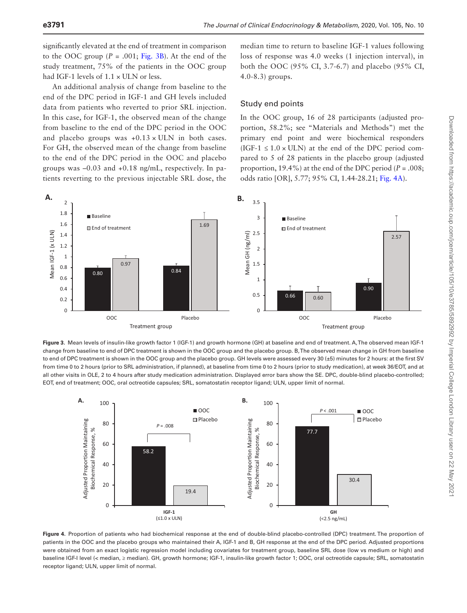significantly elevated at the end of treatment in comparison to the OOC group  $(P = .001; Fig. 3B)$  $(P = .001; Fig. 3B)$  $(P = .001; Fig. 3B)$ . At the end of the study treatment, 75% of the patients in the OOC group had IGF-1 levels of  $1.1 \times$  ULN or less.

An additional analysis of change from baseline to the end of the DPC period in IGF-1 and GH levels included data from patients who reverted to prior SRL injection. In this case, for IGF-1, the observed mean of the change from baseline to the end of the DPC period in the OOC and placebo groups was  $+0.13 \times$  ULN in both cases. For GH, the observed mean of the change from baseline to the end of the DPC period in the OOC and placebo groups was –0.03 and +0.18 ng/mL, respectively. In patients reverting to the previous injectable SRL dose, the

median time to return to baseline IGF-1 values following loss of response was 4.0 weeks (1 injection interval), in both the OOC (95% CI, 3.7-6.7) and placebo (95% CI, 4.0-8.3) groups.

#### Study end points

In the OOC group, 16 of 28 participants (adjusted proportion, 58.2%; see "Materials and Methods") met the primary end point and were biochemical responders (IGF-1  $\leq$  1.0  $\times$  ULN) at the end of the DPC period compared to 5 of 28 patients in the placebo group (adjusted proportion, 19.4%) at the end of the DPC period ( $P = .008$ ; odds ratio [OR], 5.77; 95% CI, 1.44-28.21; [Fig. 4A\)](#page-6-1).



<span id="page-6-0"></span>**Figure 3.** Mean levels of insulin-like growth factor 1 (IGF-1) and growth hormone (GH) at baseline and end of treatment. A, The observed mean IGF-1 change from baseline to end of DPC treatment is shown in the OOC group and the placebo group. B, The observed mean change in GH from baseline to end of DPC treatment is shown in the OOC group and the placebo group. GH levels were assessed every 30 (±5) minutes for 2 hours: at the first SV from time 0 to 2 hours (prior to SRL administration, if planned), at baseline from time 0 to 2 hours (prior to study medication), at week 36/EOT, and at all other visits in OLE, 2 to 4 hours after study medication administration. Displayed error bars show the SE. DPC, double-blind placebo-controlled; EOT, end of treatment; OOC, oral octreotide capsules; SRL, somatostatin receptor ligand; ULN, upper limit of normal.



<span id="page-6-1"></span>**Figure 4.** Proportion of patients who had biochemical response at the end of double-blind placebo-controlled (DPC) treatment. The proportion of patients in the OOC and the placebo groups who maintained their A, IGF-1 and B, GH response at the end of the DPC period. Adjusted proportions were obtained from an exact logistic regression model including covariates for treatment group, baseline SRL dose (low vs medium or high) and baseline IGF-I level (< median, ≥ median). GH, growth hormone; IGF-1, insulin-like growth factor 1; OOC, oral octreotide capsule; SRL, somatostatin receptor ligand; ULN, upper limit of normal.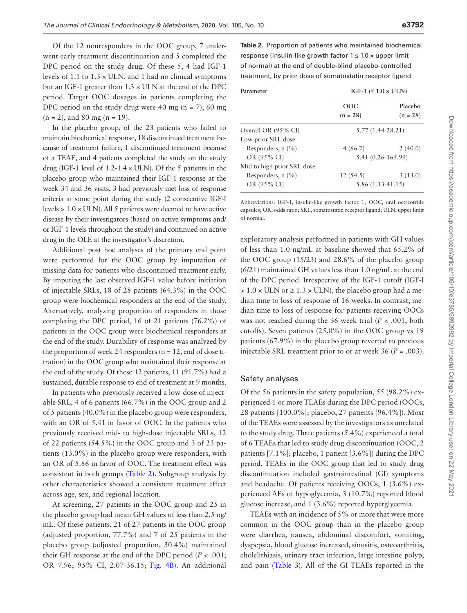Of the 12 nonresponders in the OOC group, 7 underwent early treatment discontinuation and 5 completed the DPC period on the study drug. Of these 5, 4 had IGF-1 levels of 1.1 to  $1.3 \times$  ULN, and 1 had no clinical symptoms but an IGF-1 greater than  $1.3 \times$  ULN at the end of the DPC period. Target OOC dosages in patients completing the DPC period on the study drug were 40 mg ( $n = 7$ ), 60 mg  $(n = 2)$ , and 80 mg  $(n = 19)$ .

In the placebo group, of the 23 patients who failed to maintain biochemical response, 18 discontinued treatment because of treatment failure, 1 discontinued treatment because of a TEAE, and 4 patients completed the study on the study drug (IGF-1 level of  $1.2\n-1.4 \times ULN$ ). Of the 5 patients in the placebo group who maintained their IGF-1 response at the week 34 and 36 visits, 3 had previously met loss of response criteria at some point during the study (2 consecutive IGF-I levels > 1.0 × ULN). All 5 patients were deemed to have active disease by their investigators (based on active symptoms and/ or IGF-1 levels throughout the study) and continued on active drug in the OLE at the investigator's discretion.

Additional post hoc analyses of the primary end point were performed for the OOC group by imputation of missing data for patients who discontinued treatment early. By imputing the last observed IGF-1 value before initiation of injectable SRLs, 18 of 28 patients (64.3%) in the OOC group were biochemical responders at the end of the study. Alternatively, analyzing proportion of responders in those completing the DPC period, 16 of 21 patients (76.2%) of patients in the OOC group were biochemical responders at the end of the study. Durability of response was analyzed by the proportion of week 24 responders ( $n = 12$ , end of dose titration) in the OOC group who maintained their response at the end of the study. Of these 12 patients, 11 (91.7%) had a sustained, durable response to end of treatment at 9 months.

In patients who previously received a low-dose of injectable SRL, 4 of 6 patients (66.7%) in the OOC group and 2 of 5 patients (40.0%) in the placebo group were responders, with an OR of 5.41 in favor of OOC. In the patients who previously received mid- to high-dose injectable SRLs, 12 of 22 patients (54.5%) in the OOC group and 3 of 23 patients (13.0%) in the placebo group were responders, with an OR of 5.86 in favor of OOC. The treatment effect was consistent in both groups ([Table 2\)](#page-7-0). Subgroup analysis by other characteristics showed a consistent treatment effect across age, sex, and regional location.

At screening, 27 patients in the OOC group and 25 in the placebo group had mean GH values of less than 2.5 ng/ mL. Of these patients, 21 of 27 patients in the OOC group (adjusted proportion, 77.7%) and 7 of 25 patients in the placebo group (adjusted proportion, 30.4%) maintained their GH response at the end of the DPC period  $(P < .001)$ ; OR 7.96; 95% CI, 2.07-36.15; [Fig. 4B\)](#page-6-1). An additional

<span id="page-7-0"></span>**Table 2.** Proportion of patients who maintained biochemical response (insulin-like growth factor  $1 \leq 1.0 \times$  upper limit of normal) at the end of double-blind placebo-controlled treatment, by prior dose of somatostatin receptor ligand

| Parameter                  | IGF-1 $(\leq 1.0 \times \text{ULN})$ |                       |  |
|----------------------------|--------------------------------------|-----------------------|--|
|                            | OOC<br>$(n = 28)$                    | Placebo<br>$(n = 28)$ |  |
| Overall OR (95% CI)        | $5.77(1.44-28.21)$                   |                       |  |
| Low prior SRL dose         |                                      |                       |  |
| Responders, $n$ (%)        | 4(66.7)                              | 2(40.0)               |  |
| OR (95% CI)                | 5.41 (0.26-165.99)                   |                       |  |
| Mid to high prior SRL dose |                                      |                       |  |
| Responders, $n$ (%)        | 12(54.5)                             | 3(13.0)               |  |
| OR (95% CI)                | $5.86(1.13-41.15)$                   |                       |  |

Abbreviations: IGF-1, insulin-like growth factor 1; OOC, oral octreotride capsules; OR, odds ratio; SRL, somatostatin receptor ligand; ULN, upper limit of normal.

exploratory analysis performed in patients with GH values of less than 1.0 ng/mL at baseline showed that 65.2% of the OOC group (15/23) and 28.6% of the placebo group (6/21) maintained GH values less than 1.0 ng/mL at the end of the DPC period. Irrespective of the IGF-1 cutoff (IGF-I  $> 1.0 \times$  ULN or  $\geq 1.3 \times$  ULN), the placebo group had a median time to loss of response of 16 weeks. In contrast, median time to loss of response for patients receiving OOCs was not reached during the 36-week trial (*P* < .001, both cutoffs). Seven patients (25.0%) in the OOC group vs 19 patients (67.9%) in the placebo group reverted to previous injectable SRL treatment prior to or at week 36 (*P* = .003).

#### Safety analyses

Of the 56 patients in the safety population, 55 (98.2%) experienced 1 or more TEAEs during the DPC period (OOCs, 28 patients [100.0%]; placebo, 27 patients [96.4%]). Most of the TEAEs were assessed by the investigators as unrelated to the study drug. Three patients (5.4%) experienced a total of 6 TEAEs that led to study drug discontinuation (OOC, 2 patients [7.1%]; placebo, 1 patient [3.6%]) during the DPC period. TEAEs in the OOC group that led to study drug discontinuation included gastrointestinal (GI) symptoms and headache. Of patients receiving OOCs, 1 (3.6%) experienced AEs of hypoglycemia, 3 (10.7%) reported blood glucose increase, and 1 (3.6%) reported hyperglycemia.

TEAEs with an incidence of 5% or more that were more common in the OOC group than in the placebo group were diarrhea, nausea, abdominal discomfort, vomiting, dyspepsia, blood glucose increased, sinusitis, osteoarthritis, cholelithiasis, urinary tract infection, large intestine polyp, and pain ([Table 3\)](#page-8-0). All of the GI TEAEs reported in the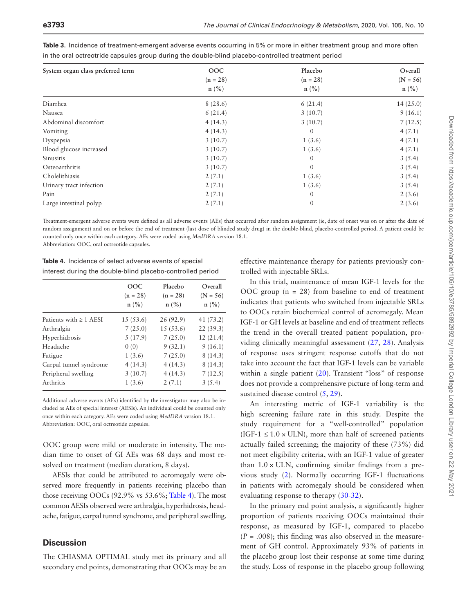| System organ class preferred term | <b>OOC</b>                  | Placebo<br>$(n = 28)$       | Overall<br>$(N = 56)$       |
|-----------------------------------|-----------------------------|-----------------------------|-----------------------------|
|                                   | $(n = 28)$                  |                             |                             |
|                                   | $n\left(\frac{9}{6}\right)$ | $n\left(\frac{9}{6}\right)$ | $n\left(\frac{9}{6}\right)$ |
| Diarrhea                          | 8(28.6)                     | 6(21.4)                     | 14(25.0)                    |
| Nausea                            | 6(21.4)                     | 3(10.7)                     | 9(16.1)                     |
| Abdominal discomfort              | 4(14.3)                     | 3(10.7)                     | 7(12.5)                     |
| Vomiting                          | 4(14.3)                     | $\Omega$                    | 4(7.1)                      |
| Dyspepsia                         | 3(10.7)                     | 1(3.6)                      | 4(7.1)                      |
| Blood glucose increased           | 3(10.7)                     | 1(3.6)                      | 4(7.1)                      |
| Sinusitis                         | 3(10.7)                     | $\theta$                    | 3(5.4)                      |
| Osteoarthritis                    | 3(10.7)                     | $\Omega$                    | 3(5.4)                      |
| Cholelithiasis                    | 2(7.1)                      | 1(3.6)                      | 3(5.4)                      |
| Urinary tract infection           | 2(7.1)                      | 1(3.6)                      | 3(5.4)                      |
| Pain                              | 2(7.1)                      | $\theta$                    | 2(3.6)                      |
| Large intestinal polyp            | 2(7.1)                      | $\mathbf{0}$                | 2(3.6)                      |

<span id="page-8-0"></span>

| Table 3. Incidence of treatment-emergent adverse events occurring in 5% or more in either treatment group and more often |  |
|--------------------------------------------------------------------------------------------------------------------------|--|
| in the oral octreotride capsules group during the double-blind placebo-controlled treatment period                       |  |

Treatment-emergent adverse events were defined as all adverse events (AEs) that occurred after random assignment (ie, date of onset was on or after the date of random assignment) and on or before the end of treatment (last dose of blinded study drug) in the double-blind, placebo-controlled period. A patient could be counted only once within each category. AEs were coded using *MedDRA* version 18.1. Abbreviation: OOC, oral octreotide capsules.

<span id="page-8-1"></span>**Table 4.** Incidence of select adverse events of special interest during the double-blind placebo-controlled period

|                             | OOC<br>$(n = 28)$<br>$n\left(\frac{9}{6}\right)$ | Placebo<br>$(n = 28)$<br>n (%) | Overall<br>$(N = 56)$<br>n (%) |
|-----------------------------|--------------------------------------------------|--------------------------------|--------------------------------|
| Patients with $\geq 1$ AESI | 15(53.6)                                         | 26(92.9)                       | 41 (73.2)                      |
| Arthralgia                  | 7(25.0)                                          | 15(53.6)                       | 22(39.3)                       |
| Hyperhidrosis               | 5(17.9)                                          | 7(25.0)                        | 12(21.4)                       |
| Headache                    | 0(0)                                             | 9(32.1)                        | 9(16.1)                        |
| Fatigue                     | 1(3.6)                                           | 7(25.0)                        | 8(14.3)                        |
| Carpal tunnel syndrome      | 4(14.3)                                          | 4(14.3)                        | 8(14.3)                        |
| Peripheral swelling         | 3(10.7)                                          | 4(14.3)                        | 7(12.5)                        |
| Arthritis                   | 1(3.6)                                           | 2(7.1)                         | 3(5.4)                         |

Additional adverse events (AEs) identified by the investigator may also be included as AEs of special interest (AESIs). An individual could be counted only once within each category. AEs were coded using *MedDRA* version 18.1. Abbreviation: OOC, oral octreotide capsules.

OOC group were mild or moderate in intensity. The median time to onset of GI AEs was 68 days and most resolved on treatment (median duration, 8 days).

AESIs that could be attributed to acromegaly were observed more frequently in patients receiving placebo than those receiving OOCs (92.9% vs 53.6%; [Table 4\)](#page-8-1). The most common AESIs observed were arthralgia, hyperhidrosis, headache, fatigue, carpal tunnel syndrome, and peripheral swelling.

## **Discussion**

The CHIASMA OPTIMAL study met its primary and all secondary end points, demonstrating that OOCs may be an

effective maintenance therapy for patients previously controlled with injectable SRLs.

In this trial, maintenance of mean IGF-1 levels for the OOC group  $(n = 28)$  from baseline to end of treatment indicates that patients who switched from injectable SRLs to OOCs retain biochemical control of acromegaly. Mean IGF-1 or GH levels at baseline and end of treatment reflects the trend in the overall treated patient population, providing clinically meaningful assessment [\(27,](#page-11-12) [28\)](#page-11-13). Analysis of response uses stringent response cutoffs that do not take into account the fact that IGF-1 levels can be variable within a single patient ([20](#page-11-7)). Transient "loss" of response does not provide a comprehensive picture of long-term and sustained disease control  $(5, 29)$  $(5, 29)$  $(5, 29)$  $(5, 29)$  $(5, 29)$ .

An interesting metric of IGF-1 variability is the high screening failure rate in this study. Despite the study requirement for a "well-controlled" population (IGF-1  $\leq$  1.0  $\times$  ULN), more than half of screened patients actually failed screening; the majority of these (73%) did not meet eligibility criteria, with an IGF-1 value of greater than  $1.0 \times$  ULN, confirming similar findings from a previous study ([2\)](#page-10-7). Normally occurring IGF-1 fluctuations in patients with acromegaly should be considered when evaluating response to therapy [\(30](#page-11-15)[-32\)](#page-11-16).

In the primary end point analysis, a significantly higher proportion of patients receiving OOCs maintained their response, as measured by IGF-1, compared to placebo  $(P = .008)$ ; this finding was also observed in the measurement of GH control. Approximately 93% of patients in the placebo group lost their response at some time during the study. Loss of response in the placebo group following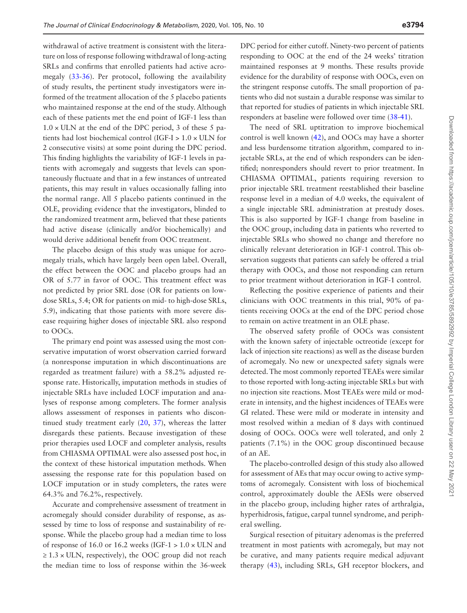withdrawal of active treatment is consistent with the literature on loss of response following withdrawal of long-acting SRLs and confirms that enrolled patients had active acromegaly ([33](#page-11-17)[-36\)](#page-11-18). Per protocol, following the availability of study results, the pertinent study investigators were informed of the treatment allocation of the 5 placebo patients who maintained response at the end of the study. Although each of these patients met the end point of IGF-1 less than  $1.0 \times$  ULN at the end of the DPC period, 3 of these 5 patients had lost biochemical control (IGF-I > 1.0 × ULN for 2 consecutive visits) at some point during the DPC period. This finding highlights the variability of IGF-1 levels in patients with acromegaly and suggests that levels can spontaneously fluctuate and that in a few instances of untreated patients, this may result in values occasionally falling into the normal range. All 5 placebo patients continued in the OLE, providing evidence that the investigators, blinded to the randomized treatment arm, believed that these patients had active disease (clinically and/or biochemically) and would derive additional benefit from OOC treatment.

The placebo design of this study was unique for acromegaly trials, which have largely been open label. Overall, the effect between the OOC and placebo groups had an OR of 5.77 in favor of OOC. This treatment effect was not predicted by prior SRL dose (OR for patients on lowdose SRLs, 5.4; OR for patients on mid- to high-dose SRLs, 5.9), indicating that those patients with more severe disease requiring higher doses of injectable SRL also respond to OOCs.

The primary end point was assessed using the most conservative imputation of worst observation carried forward (a nonresponse imputation in which discontinuations are regarded as treatment failure) with a 58.2% adjusted response rate. Historically, imputation methods in studies of injectable SRLs have included LOCF imputation and analyses of response among completers. The former analysis allows assessment of responses in patients who discontinued study treatment early ([20,](#page-11-7) [37](#page-11-19)), whereas the latter disregards these patients. Because investigation of these prior therapies used LOCF and completer analysis, results from CHIASMA OPTIMAL were also assessed post hoc, in the context of these historical imputation methods. When assessing the response rate for this population based on LOCF imputation or in study completers, the rates were 64.3% and 76.2%, respectively.

Accurate and comprehensive assessment of treatment in acromegaly should consider durability of response, as assessed by time to loss of response and sustainability of response. While the placebo group had a median time to loss of response of 16.0 or 16.2 weeks (IGF-1  $> 1.0 \times$  ULN and  $\geq 1.3 \times$  ULN, respectively), the OOC group did not reach the median time to loss of response within the 36-week DPC period for either cutoff. Ninety-two percent of patients responding to OOC at the end of the 24 weeks' titration maintained responses at 9 months. These results provide evidence for the durability of response with OOCs, even on the stringent response cutoffs. The small proportion of patients who did not sustain a durable response was similar to that reported for studies of patients in which injectable SRL responders at baseline were followed over time [\(38](#page-11-20)[-41\)](#page-11-21).

The need of SRL uptitration to improve biochemical control is well known ([42](#page-12-0)), and OOCs may have a shorter and less burdensome titration algorithm, compared to injectable SRLs, at the end of which responders can be identified; nonresponders should revert to prior treatment. In CHIASMA OPTIMAL, patients requiring reversion to prior injectable SRL treatment reestablished their baseline response level in a median of 4.0 weeks, the equivalent of a single injectable SRL administration at prestudy doses. This is also supported by IGF-1 change from baseline in the OOC group, including data in patients who reverted to injectable SRLs who showed no change and therefore no clinically relevant deterioration in IGF-1 control. This observation suggests that patients can safely be offered a trial therapy with OOCs, and those not responding can return to prior treatment without deterioration in IGF-1 control.

Reflecting the positive experience of patients and their clinicians with OOC treatments in this trial, 90% of patients receiving OOCs at the end of the DPC period chose to remain on active treatment in an OLE phase.

The observed safety profile of OOCs was consistent with the known safety of injectable octreotide (except for lack of injection site reactions) as well as the disease burden of acromegaly. No new or unexpected safety signals were detected. The most commonly reported TEAEs were similar to those reported with long-acting injectable SRLs but with no injection site reactions. Most TEAEs were mild or moderate in intensity, and the highest incidences of TEAEs were GI related. These were mild or moderate in intensity and most resolved within a median of 8 days with continued dosing of OOCs. OOCs were well tolerated, and only 2 patients (7.1%) in the OOC group discontinued because of an AE.

The placebo-controlled design of this study also allowed for assessment of AEs that may occur owing to active symptoms of acromegaly. Consistent with loss of biochemical control, approximately double the AESIs were observed in the placebo group, including higher rates of arthralgia, hyperhidrosis, fatigue, carpal tunnel syndrome, and peripheral swelling.

Surgical resection of pituitary adenomas is the preferred treatment in most patients with acromegaly, but may not be curative, and many patients require medical adjuvant therapy ([43](#page-12-1)), including SRLs, GH receptor blockers, and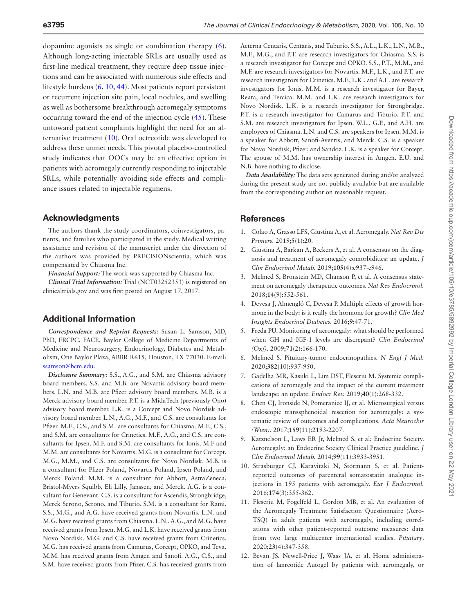dopamine agonists as single or combination therapy [\(6](#page-10-3)). Although long-acting injectable SRLs are usually used as first-line medical treatment, they require deep tissue injections and can be associated with numerous side effects and lifestyle burdens [\(6,](#page-10-3) [10](#page-10-8), [44](#page-12-2)). Most patients report persistent or recurrent injection site pain, local nodules, and swelling as well as bothersome breakthrough acromegaly symptoms occurring toward the end of the injection cycle ([45\)](#page-12-3). These untoward patient complaints highlight the need for an alternative treatment ([10](#page-10-8)). Oral octreotide was developed to address these unmet needs. This pivotal placebo-controlled study indicates that OOCs may be an effective option in patients with acromegaly currently responding to injectable SRLs, while potentially avoiding side effects and compliance issues related to injectable regimens.

#### **Acknowledgments**

The authors thank the study coordinators, coinvestigators, patients, and families who participated in the study. Medical writing assistance and revision of the manuscript under the direction of the authors was provided by PRECISIONscientia, which was compensated by Chiasma Inc.

*Financial Support:* The work was supported by Chiasma Inc.

*Clinical Trial Information:* Trial (NCT03252353) is registered on clinicaltrials.gov and was first posted on August 17, 2017.

#### **Additional Information**

*Correspondence and Reprint Requests:* Susan L. Samson, MD, PhD, FRCPC, FACE, Baylor College of Medicine Departments of Medicine and Neurosurgery, Endocrinology, Diabetes and Metabolism, One Baylor Plaza, ABBR R615, Houston, TX 77030. E-mail: [ssamson@bcm.edu](mailto:ssamson@bcm.edu?subject=).

*Disclosure Summary:* S.S., A.G., and S.M. are Chiasma advisory board members. S.S. and M.B. are Novartis advisory board members. L.N. and M.B. are Pfizer advisory board members. M.B. is a Merck advisory board member. P.T. is a MidaTech (previously Ono) advisory board member. L.K. is a Corcept and Novo Nordisk advisory board member. L.N., A.G., M.F., and C.S. are consultants for Pfizer. M.F., C.S., and S.M. are consultants for Chiasma. M.F., C.S., and S.M. are consultants for Crinetics. M.F., A.G., and C.S. are consultants for Ipsen. M.F. and S.M. are consultants for Ionis. M.F and M.M. are consultants for Novartis. M.G. is a consultant for Corcept. M.G., M.M., and C.S. are consultants for Novo Nordisk. M.B. is a consultant for Pfizer Poland, Novartis Poland, Ipsen Poland, and Merck Poland. M.M. is a consultant for Abbott, AstraZeneca, Bristol-Myers Squibb, Eli Lilly, Janssen, and Merck. A.G. is a consultant for Genevant. C.S. is a consultant for Ascendis, Strongbridge, Merck Serono, Serono, and Tiburio. S.M. is a consultant for Rami. S.S., M.G., and A.G. have received grants from Novartis. L.N. and M.G. have received grants from Chiasma. L.N., A.G., and M.G. have received grants from Ipsen. M.G. and L.K. have received grants from Novo Nordisk. M.G. and C.S. have received grants from Crinetics. M.G. has received grants from Camurus, Corcept, OPKO, and Teva. M.M. has received grants from Amgen and Sanofi. A.G., C.S., and S.M. have received grants from Pfizer. C.S. has received grants from

Aeterna Centaris, Centaris, and Tuburio. S.S., A.L., L.K., L.N., M.B., M.F., M.G., and P.T. are research investigators for Chiasma. S.S. is a research investigator for Corcept and OPKO. S.S., P.T., M.M., and M.F. are research investigators for Novartis. M.F., L.K., and P.T. are research investigators for Crinetics. M.F., L.K., and A.L. are research investigators for Ionis. M.M. is a research investigator for Bayer, Reata, and Tercica. M.M. and L.K. are research investigators for Novo Nordisk. L.K. is a research investigator for Strongbridge. P.T. is a research investigator for Camarus and Tiburio. P.T. and S.M. are research investigators for Ipsen. W.L., G.P., and A.H. are employees of Chiasma. L.N. and C.S. are speakers for Ipsen. M.M. is a speaker for Abbott, Sanofi-Aventis, and Merck. C.S. is a speaker for Novo Nordisk, Pfizer, and Sandoz. L.K. is a speaker for Corcept. The spouse of M.M. has ownership interest in Amgen. E.U. and N.B. have nothing to disclose.

*Data Availability:* The data sets generated during and/or analyzed during the present study are not publicly available but are available from the corresponding author on reasonable request.

#### **References**

- <span id="page-10-0"></span>1. Colao A, Grasso LFS, Giustina A, et al. Acromegaly. *Nat Rev Dis Primers.* 2019;**5**(1):20.
- <span id="page-10-7"></span>2. Giustina A, Barkan A, Beckers A, et al. A consensus on the diagnosis and treatment of acromegaly comorbidities: an update. *J Clin Endocrinol Metab.* 2019;**105**(4):e937-e946.
- <span id="page-10-1"></span>3. Melmed S, Bronstein MD, Chanson P, et al. A consensus statement on acromegaly therapeutic outcomes. *Nat Rev Endocrinol.* 2018;**14**(9):552-561.
- <span id="page-10-2"></span>4. Devesa J, Almengló C, Devesa P. Multiple effects of growth hormone in the body: is it really the hormone for growth? *Clin Med Insights Endocrinol Diabetes.* 2016;**9**:47-71.
- <span id="page-10-11"></span>5. Freda PU. Monitoring of acromegaly: what should be performed when GH and IGF-1 levels are discrepant? *Clin Endocrinol (Oxf).* 2009;**71**(2):166-170.
- <span id="page-10-3"></span>6. Melmed S. Pituitary-tumor endocrinopathies. *N Engl J Med.* 2020;**382**(10):937-950.
- <span id="page-10-4"></span>7. Gadelha MR, Kasuki L, Lim DST, Fleseriu M. Systemic complications of acromegaly and the impact of the current treatment landscape: an update. *Endocr Rev.* 2019;**40**(1):268-332.
- <span id="page-10-5"></span>8. Chen CJ, Ironside N, Pomeraniec IJ, et al. Microsurgical versus endoscopic transsphenoidal resection for acromegaly: a systematic review of outcomes and complications. *Acta Neurochir (Wien).* 2017;**159**(11):2193-2207.
- <span id="page-10-6"></span>9. Katznelson L, Laws ER Jr, Melmed S, et al; Endocrine Society. Acromegaly: an Endocrine Society Clinical Practice guideline. *J Clin Endocrinol Metab.* 2014;**99**(11):3933-3951.
- <span id="page-10-8"></span>10. Strasburger CJ, Karavitaki N, Störmann S, et al. Patientreported outcomes of parenteral somatostatin analogue injections in 195 patients with acromegaly. *Eur J Endocrinol.* 2016;**174**(3):355-362.
- <span id="page-10-9"></span>11. Fleseriu M, Fogelfeld L, Gordon MB, et al. An evaluation of the Acromegaly Treatment Satisfaction Questionnaire (Acro-TSQ) in adult patients with acromegaly, including correlations with other patient-reported outcome measures: data from two large multicenter international studies. *Pituitary*. 2020;**23**(4):347-358.
- <span id="page-10-10"></span>12. Bevan JS, Newell-Price J, Wass JA, et al. Home administration of lanreotide Autogel by patients with acromegaly, or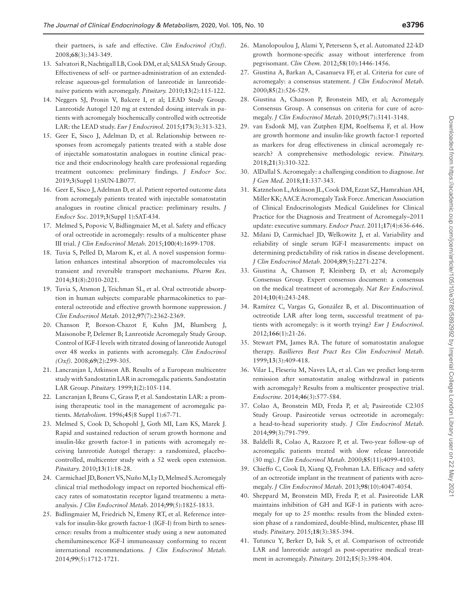their partners, is safe and effective. *Clin Endocrinol (Oxf).* 2008;**68**(3):343-349.

- <span id="page-11-0"></span>13. Salvatori R, Nachtigall LB, Cook DM, et al; SALSA Study Group. Effectiveness of self- or partner-administration of an extendedrelease aqueous-gel formulation of lanreotide in lanreotidenaïve patients with acromegaly. *Pituitary.* 2010;**13**(2):115-122.
- <span id="page-11-1"></span>14. Neggers SJ, Pronin V, Balcere I, et al; LEAD Study Group. Lanreotide Autogel 120 mg at extended dosing intervals in patients with acromegaly biochemically controlled with octreotide LAR: the LEAD study. *Eur J Endocrinol.* 2015;**173**(3):313-323.
- <span id="page-11-2"></span>15. Geer E, Sisco J, Adelman D, et al. Relationship between responses from acromegaly patients treated with a stable dose of injectable somatostatin analogues in routine clinical practice and their endocrinology health care professional regarding treatment outcomes: preliminary findings. *J Endocr Soc*. 2019;**3**(Suppl 1):SUN-LB077.
- <span id="page-11-3"></span>16. Geer E, Sisco J, Adelman D, et al. Patient reported outcome data from acromegaly patients treated with injectable somatostatin analogues in routine clinical practice: preliminary results. *J Endocr Soc*. 2019;**3**(Suppl 1):SAT-434.
- <span id="page-11-4"></span>17. Melmed S, Popovic V, Bidlingmaier M, et al. Safety and efficacy of oral octreotide in acromegaly: results of a multicenter phase III trial. *J Clin Endocrinol Metab.* 2015;**100**(4):1699-1708.
- <span id="page-11-5"></span>18. Tuvia S, Pelled D, Marom K, et al. A novel suspension formulation enhances intestinal absorption of macromolecules via transient and reversible transport mechanisms. *Pharm Res.* 2014;**31**(8):2010-2021.
- <span id="page-11-6"></span>19. Tuvia S, Atsmon J, Teichman SL, et al. Oral octreotide absorption in human subjects: comparable pharmacokinetics to parenteral octreotide and effective growth hormone suppression. *J Clin Endocrinol Metab.* 2012;**97**(7):2362-2369.
- <span id="page-11-7"></span>20. Chanson P, Borson-Chazot F, Kuhn JM, Blumberg J, Maisonobe P, Delemer B; Lanreotide Acromegaly Study Group. Control of IGF-I levels with titrated dosing of lanreotide Autogel over 48 weeks in patients with acromegaly. *Clin Endocrinol (Oxf).* 2008;**69**(2):299-305.
- 21. Lancranjan I, Atkinson AB. Results of a European multicentre study with Sandostatin LAR in acromegalic patients. Sandostatin LAR Group. *Pituitary.* 1999;**1**(2):105-114.
- 22. Lancranjan I, Bruns C, Grass P, et al. Sandostatin LAR: a promising therapeutic tool in the management of acromegalic patients. *Metabolism.* 1996;**45**(8 Suppl 1):67-71.
- <span id="page-11-8"></span>23. Melmed S, Cook D, Schopohl J, Goth MI, Lam KS, Marek J. Rapid and sustained reduction of serum growth hormone and insulin-like growth factor-1 in patients with acromegaly receiving lanreotide Autogel therapy: a randomized, placebocontrolled, multicenter study with a 52 week open extension. *Pituitary.* 2010;**13**(1):18-28.
- <span id="page-11-9"></span>24. Carmichael JD, Bonert VS, Nuño M, Ly D, Melmed S. Acromegaly clinical trial methodology impact on reported biochemical efficacy rates of somatostatin receptor ligand treatments: a metaanalysis. *J Clin Endocrinol Metab.* 2014;**99**(5):1825-1833.
- <span id="page-11-10"></span>25. Bidlingmaier M, Friedrich N, Emeny RT, et al. Reference intervals for insulin-like growth factor-1 (IGF-I) from birth to senescence: results from a multicenter study using a new automated chemiluminescence IGF-I immunoassay conforming to recent international recommendations. *J Clin Endocrinol Metab.* 2014;**99**(5):1712-1721.
- <span id="page-11-11"></span>26. Manolopoulou J, Alami Y, Petersenn S, et al. Automated 22-kD growth hormone-specific assay without interference from pegvisomant. *Clin Chem.* 2012;**58**(10):1446-1456.
- <span id="page-11-12"></span>27. Giustina A, Barkan A, Casanueva FF, et al. Criteria for cure of acromegaly: a consensus statement. *J Clin Endocrinol Metab.* 2000;**85**(2):526-529.
- <span id="page-11-13"></span>28. Giustina A, Chanson P, Bronstein MD, et al; Acromegaly Consensus Group. A consensus on criteria for cure of acromegaly. *J Clin Endocrinol Metab.* 2010;**95**(7):3141-3148.
- <span id="page-11-14"></span>29. van Esdonk MJ, van Zutphen EJM, Roelfsema F, et al. How are growth hormone and insulin-like growth factor-1 reported as markers for drug effectiveness in clinical acromegaly research? A comprehensive methodologic review. *Pituitary.* 2018;**21**(3):310-322.
- <span id="page-11-15"></span>30. AlDallal S. Acromegaly: a challenging condition to diagnose. *Int J Gen Med.* 2018;**11**:337-343.
- 31. Katznelson L, Atkinson JL, Cook DM, Ezzat SZ, Hamrahian AH, Miller KK; AACE Acromegaly Task Force. American Association of Clinical Endocrinologists Medical Guidelines for Clinical Practice for the Diagnosis and Treatment of Acromegaly–2011 update: executive summary. *Endocr Pract.* 2011;**17**(4):636-646.
- <span id="page-11-16"></span>32. Milani D, Carmichael JD, Welkowitz J, et al. Variability and reliability of single serum IGF-I measurements: impact on determining predictability of risk ratios in disease development. *J Clin Endocrinol Metab.* 2004;**89**(5):2271-2274.
- <span id="page-11-17"></span>33. Giustina A, Chanson P, Kleinberg D, et al; Acromegaly Consensus Group. Expert consensus document: a consensus on the medical treatment of acromegaly. *Nat Rev Endocrinol.* 2014;**10**(4):243-248.
- 34. Ramírez C, Vargas G, González B, et al. Discontinuation of octreotide LAR after long term, successful treatment of patients with acromegaly: is it worth trying? *Eur J Endocrinol.* 2012;**166**(1):21-26.
- 35. Stewart PM, James RA. The future of somatostatin analogue therapy. *Baillieres Best Pract Res Clin Endocrinol Metab.* 1999;**13**(3):409-418.
- <span id="page-11-18"></span>36. Vilar L, Fleseriu M, Naves LA, et al. Can we predict long-term remission after somatostatin analog withdrawal in patients with acromegaly? Results from a multicenter prospective trial. *Endocrine.* 2014;**46**(3):577-584.
- <span id="page-11-19"></span>37. Colao A, Bronstein MD, Freda P, et al; Pasireotide C2305 Study Group. Pasireotide versus octreotide in acromegaly: a head-to-head superiority study. *J Clin Endocrinol Metab.* 2014;**99**(3):791-799.
- <span id="page-11-20"></span>38. Baldelli R, Colao A, Razzore P, et al. Two-year follow-up of acromegalic patients treated with slow release lanreotide (30 mg). *J Clin Endocrinol Metab.* 2000;**85**(11):4099-4103.
- 39. Chieffo C, Cook D, Xiang Q, Frohman LA. Efficacy and safety of an octreotide implant in the treatment of patients with acromegaly. *J Clin Endocrinol Metab.* 2013;**98**(10):4047-4054.
- 40. Sheppard M, Bronstein MD, Freda P, et al. Pasireotide LAR maintains inhibition of GH and IGF-1 in patients with acromegaly for up to 25 months: results from the blinded extension phase of a randomized, double-blind, multicenter, phase III study. *Pituitary.* 2015;**18**(3):385-394.
- <span id="page-11-21"></span>41. Tutuncu Y, Berker D, Isik S, et al. Comparison of octreotide LAR and lanreotide autogel as post-operative medical treatment in acromegaly. *Pituitary.* 2012;**15**(3):398-404.